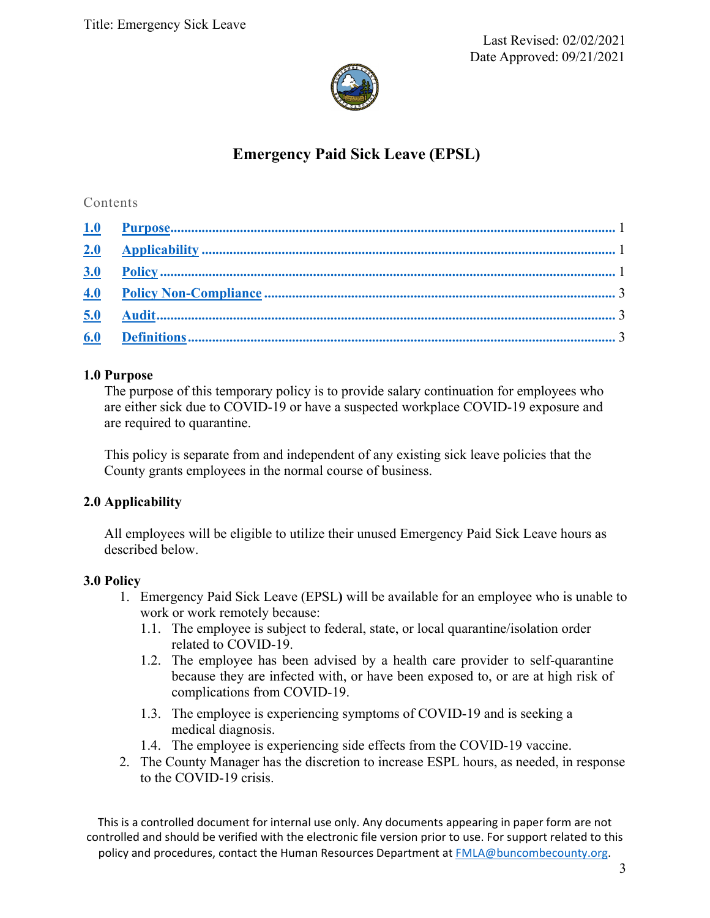

# **Emergency Paid Sick Leave (EPSL)**

## Contents

## **1.0 Purpose**

The purpose of this temporary policy is to provide salary continuation for employees who are either sick due to COVID-19 or have a suspected workplace COVID-19 exposure and are required to quarantine.

This policy is separate from and independent of any existing sick leave policies that the County grants employees in the normal course of business.

# **2.0 Applicability**

All employees will be eligible to utilize their unused Emergency Paid Sick Leave hours as described below.

## **3.0 Policy**

- 1. Emergency Paid Sick Leave (EPSL**)** will be available for an employee who is unable to work or work remotely because:
	- 1.1. The employee is subject to federal, state, or local quarantine/isolation order related to COVID‐19.
	- 1.2. The employee has been advised by a health care provider to self-quarantine because they are infected with, or have been exposed to, or are at high risk of complications from COVID-19.
	- 1.3. The employee is experiencing symptoms of COVID-19 and is seeking a medical diagnosis.
	- 1.4. The employee is experiencing side effects from the COVID-19 vaccine.
- 2. The County Manager has the discretion to increase ESPL hours, as needed, in response to the COVID-19 crisis.

This is a controlled document for internal use only. Any documents appearing in paper form are not controlled and should be verified with the electronic file version prior to use. For support related to this policy and procedures, contact the Human Resources Department at FMLA@buncombecounty.org.